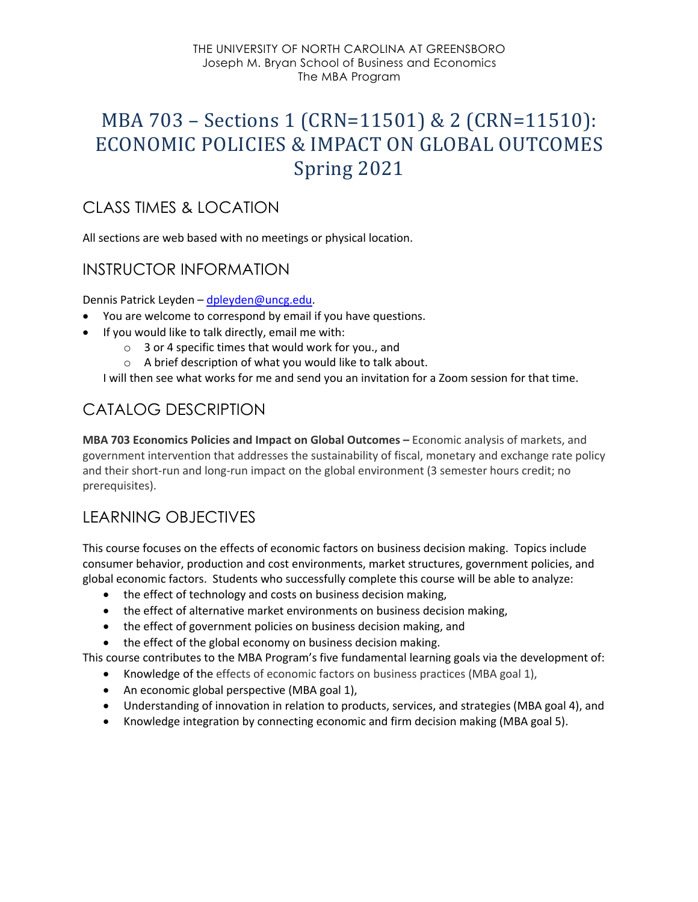#### THE UNIVERSITY OF NORTH CAROLINA AT GREENSBORO Joseph M. Bryan School of Business and Economics The MBA Program

# MBA 703 - Sections 1 (CRN=11501) & 2 (CRN=11510): ECONOMIC POLICIES & IMPACT ON GLOBAL OUTCOMES Spring 2021

# CLASS TIMES & LOCATION

All sections are web based with no meetings or physical location.

## INSTRUCTOR INFORMATION

Dennis Patrick Leyden – dpleyden@uncg.edu.

- You are welcome to correspond by email if you have questions.
- If you would like to talk directly, email me with:
	- o 3 or 4 specific times that would work for you., and
	- o A brief description of what you would like to talk about.

I will then see what works for me and send you an invitation for a Zoom session for that time.

# CATALOG DESCRIPTION

**MBA 703 Economics Policies and Impact on Global Outcomes –** Economic analysis of markets, and government intervention that addresses the sustainability of fiscal, monetary and exchange rate policy and their short-run and long-run impact on the global environment (3 semester hours credit; no prerequisites).

# LEARNING OBJECTIVES

This course focuses on the effects of economic factors on business decision making. Topics include consumer behavior, production and cost environments, market structures, government policies, and global economic factors. Students who successfully complete this course will be able to analyze:

- the effect of technology and costs on business decision making,
- the effect of alternative market environments on business decision making,
- the effect of government policies on business decision making, and
- the effect of the global economy on business decision making.

This course contributes to the MBA Program's five fundamental learning goals via the development of:

- Knowledge of the effects of economic factors on business practices (MBA goal 1),
- An economic global perspective (MBA goal 1),
- Understanding of innovation in relation to products, services, and strategies (MBA goal 4), and
- Knowledge integration by connecting economic and firm decision making (MBA goal 5).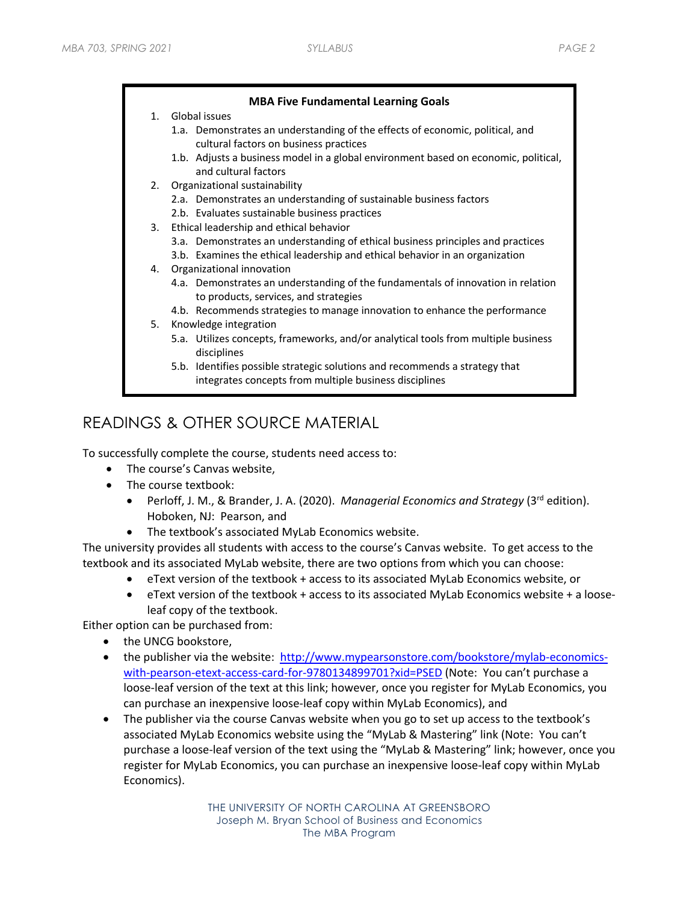#### **MBA Five Fundamental Learning Goals**

- 1. Global issues
	- 1.a. Demonstrates an understanding of the effects of economic, political, and cultural factors on business practices
	- 1.b. Adjusts a business model in a global environment based on economic, political, and cultural factors
- 2. Organizational sustainability
	- 2.a. Demonstrates an understanding of sustainable business factors
	- 2.b. Evaluates sustainable business practices
- 3. Ethical leadership and ethical behavior
	- 3.a. Demonstrates an understanding of ethical business principles and practices
	- 3.b. Examines the ethical leadership and ethical behavior in an organization
- 4. Organizational innovation
	- 4.a. Demonstrates an understanding of the fundamentals of innovation in relation to products, services, and strategies
	- 4.b. Recommends strategies to manage innovation to enhance the performance
- 5. Knowledge integration
	- 5.a. Utilizes concepts, frameworks, and/or analytical tools from multiple business disciplines
	- 5.b. Identifies possible strategic solutions and recommends a strategy that integrates concepts from multiple business disciplines

# READINGS & OTHER SOURCE MATERIAL

To successfully complete the course, students need access to:

- The course's Canvas website,
- The course textbook:
	- Perloff, J. M., & Brander, J. A. (2020). *Managerial Economics and Strategy* (3rd edition). Hoboken, NJ: Pearson, and
	- The textbook's associated MyLab Economics website.

The university provides all students with access to the course's Canvas website. To get access to the textbook and its associated MyLab website, there are two options from which you can choose:

- eText version of the textbook + access to its associated MyLab Economics website, or
- eText version of the textbook + access to its associated MyLab Economics website + a looseleaf copy of the textbook.

Either option can be purchased from:

- the UNCG bookstore,
- the publisher via the website: http://www.mypearsonstore.com/bookstore/mylab-economicswith-pearson-etext-access-card-for-9780134899701?xid=PSED (Note: You can't purchase a loose-leaf version of the text at this link; however, once you register for MyLab Economics, you can purchase an inexpensive loose-leaf copy within MyLab Economics), and
- The publisher via the course Canvas website when you go to set up access to the textbook's associated MyLab Economics website using the "MyLab & Mastering" link (Note: You can't purchase a loose-leaf version of the text using the "MyLab & Mastering" link; however, once you register for MyLab Economics, you can purchase an inexpensive loose-leaf copy within MyLab Economics).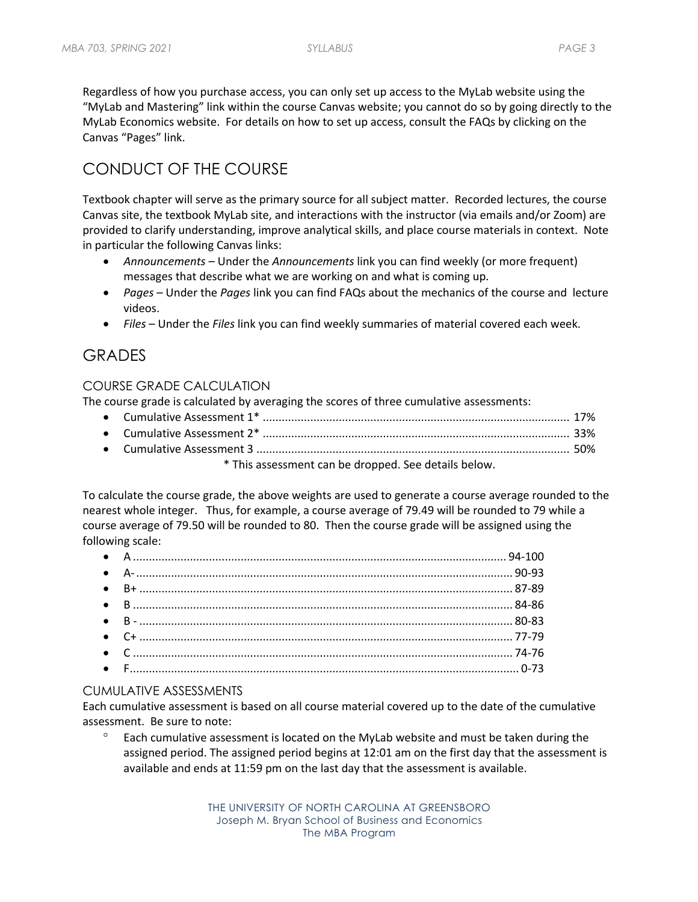Regardless of how you purchase access, you can only set up access to the MyLab website using the "MyLab and Mastering" link within the course Canvas website; you cannot do so by going directly to the MyLab Economics website. For details on how to set up access, consult the FAQs by clicking on the Canvas "Pages" link.

# CONDUCT OF THE COURSE

Textbook chapter will serve as the primary source for all subject matter. Recorded lectures, the course Canvas site, the textbook MyLab site, and interactions with the instructor (via emails and/or Zoom) are provided to clarify understanding, improve analytical skills, and place course materials in context. Note in particular the following Canvas links:

- *Announcements* Under the *Announcements* link you can find weekly (or more frequent) messages that describe what we are working on and what is coming up.
- *Pages* Under the *Pages* link you can find FAQs about the mechanics of the course and lecture videos.
- *Files* Under the *Files* link you can find weekly summaries of material covered each week.

## GRADES

### COURSE GRADE CALCULATION

The course grade is calculated by averaging the scores of three cumulative assessments:

| * This assessment can be dropped. See details below. |  |
|------------------------------------------------------|--|

To calculate the course grade, the above weights are used to generate a course average rounded to the nearest whole integer. Thus, for example, a course average of 79.49 will be rounded to 79 while a course average of 79.50 will be rounded to 80. Then the course grade will be assigned using the following scale:

### CUMULATIVE ASSESSMENTS

Each cumulative assessment is based on all course material covered up to the date of the cumulative assessment. Be sure to note:

Each cumulative assessment is located on the MyLab website and must be taken during the assigned period. The assigned period begins at 12:01 am on the first day that the assessment is available and ends at 11:59 pm on the last day that the assessment is available.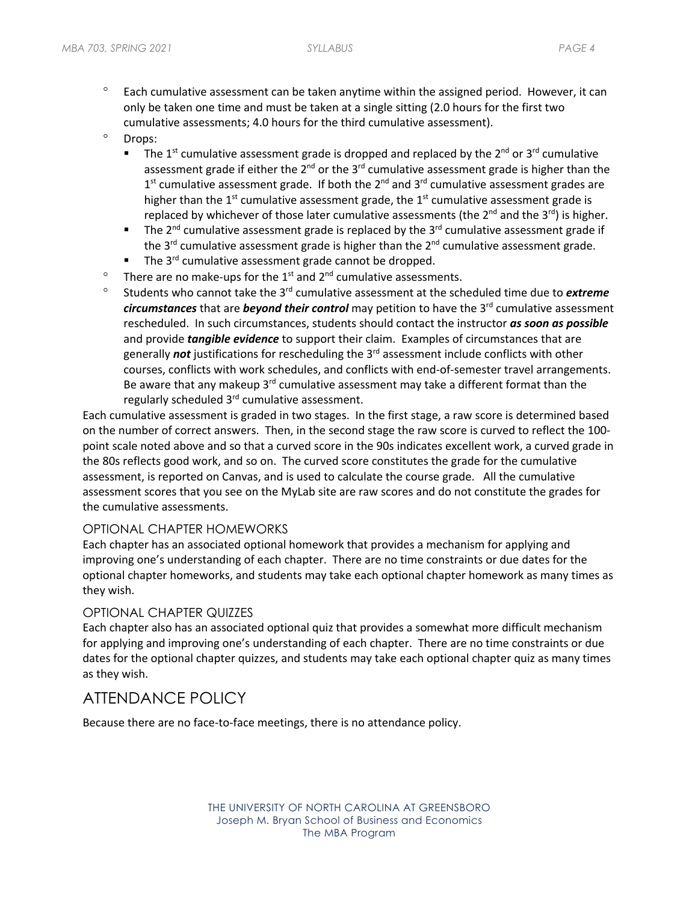- $\degree$  Each cumulative assessment can be taken anytime within the assigned period. However, it can only be taken one time and must be taken at a single sitting (2.0 hours for the first two cumulative assessments; 4.0 hours for the third cumulative assessment).
- ° Drops:
	- The 1<sup>st</sup> cumulative assessment grade is dropped and replaced by the 2<sup>nd</sup> or 3<sup>rd</sup> cumulative assessment grade if either the  $2^{nd}$  or the  $3^{rd}$  cumulative assessment grade is higher than the  $1<sup>st</sup>$  cumulative assessment grade. If both the  $2<sup>nd</sup>$  and  $3<sup>rd</sup>$  cumulative assessment grades are higher than the  $1<sup>st</sup>$  cumulative assessment grade, the  $1<sup>st</sup>$  cumulative assessment grade is replaced by whichever of those later cumulative assessments (the  $2^{nd}$  and the  $3^{rd}$ ) is higher.
	- **•** The 2<sup>nd</sup> cumulative assessment grade is replaced by the 3<sup>rd</sup> cumulative assessment grade if the  $3^{rd}$  cumulative assessment grade is higher than the  $2^{nd}$  cumulative assessment grade.
	- $\blacksquare$  The 3<sup>rd</sup> cumulative assessment grade cannot be dropped.
- $\degree$  There are no make-ups for the 1<sup>st</sup> and 2<sup>nd</sup> cumulative assessments.
- ° Students who cannot take the 3rd cumulative assessment at the scheduled time due to *extreme circumstances* that are *beyond their control* may petition to have the 3<sup>rd</sup> cumulative assessment rescheduled. In such circumstances, students should contact the instructor *as soon as possible*  and provide *tangible evidence* to support their claim. Examples of circumstances that are generally *not* justifications for rescheduling the 3rd assessment include conflicts with other courses, conflicts with work schedules, and conflicts with end-of-semester travel arrangements. Be aware that any makeup  $3^{rd}$  cumulative assessment may take a different format than the regularly scheduled 3<sup>rd</sup> cumulative assessment.

Each cumulative assessment is graded in two stages. In the first stage, a raw score is determined based on the number of correct answers. Then, in the second stage the raw score is curved to reflect the 100 point scale noted above and so that a curved score in the 90s indicates excellent work, a curved grade in the 80s reflects good work, and so on. The curved score constitutes the grade for the cumulative assessment, is reported on Canvas, and is used to calculate the course grade. All the cumulative assessment scores that you see on the MyLab site are raw scores and do not constitute the grades for the cumulative assessments.

#### OPTIONAL CHAPTER HOMEWORKS

Each chapter has an associated optional homework that provides a mechanism for applying and improving one's understanding of each chapter. There are no time constraints or due dates for the optional chapter homeworks, and students may take each optional chapter homework as many times as they wish.

### OPTIONAL CHAPTER QUIZZES

Each chapter also has an associated optional quiz that provides a somewhat more difficult mechanism for applying and improving one's understanding of each chapter. There are no time constraints or due dates for the optional chapter quizzes, and students may take each optional chapter quiz as many times as they wish.

## ATTENDANCE POLICY

Because there are no face-to-face meetings, there is no attendance policy.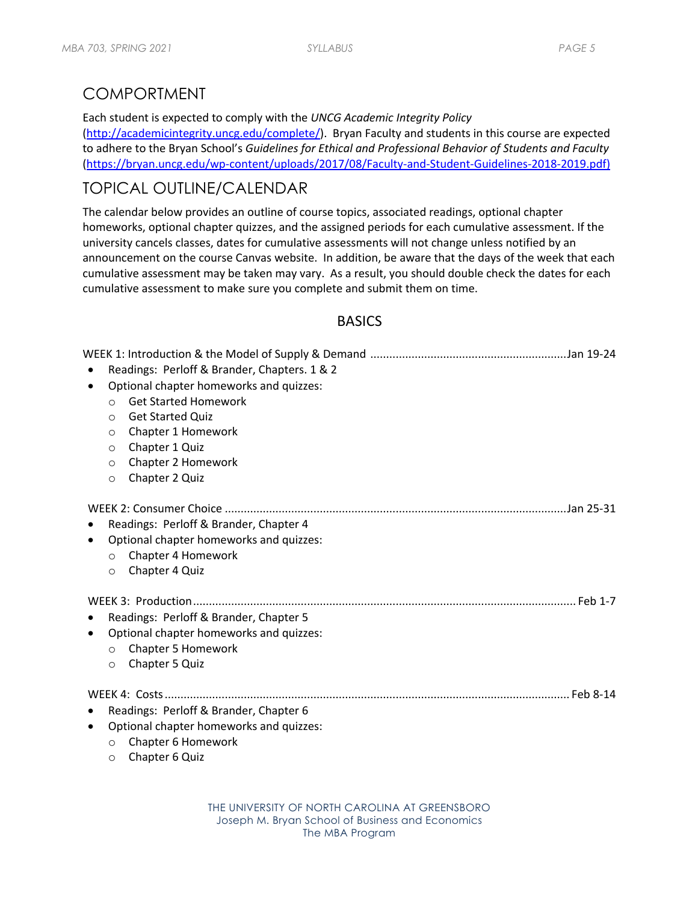# COMPORTMENT

Each student is expected to comply with the *UNCG Academic Integrity Policy*

(http://academicintegrity.uncg.edu/complete/). Bryan Faculty and students in this course are expected to adhere to the Bryan School's *Guidelines for Ethical and Professional Behavior of Students and Faculty* (https://bryan.uncg.edu/wp-content/uploads/2017/08/Faculty-and-Student-Guidelines-2018-2019.pdf)

# TOPICAL OUTLINE/CALENDAR

The calendar below provides an outline of course topics, associated readings, optional chapter homeworks, optional chapter quizzes, and the assigned periods for each cumulative assessment. If the university cancels classes, dates for cumulative assessments will not change unless notified by an announcement on the course Canvas website. In addition, be aware that the days of the week that each cumulative assessment may be taken may vary. As a result, you should double check the dates for each cumulative assessment to make sure you complete and submit them on time.

## **BASICS**

|                    | Readings: Perloff & Brander, Chapters. 1 & 2                                                                              |  |  |  |
|--------------------|---------------------------------------------------------------------------------------------------------------------------|--|--|--|
|                    | Optional chapter homeworks and quizzes:                                                                                   |  |  |  |
| $\circ$            | <b>Get Started Homework</b>                                                                                               |  |  |  |
| $\Omega$           | <b>Get Started Quiz</b>                                                                                                   |  |  |  |
| $\circ$            | Chapter 1 Homework                                                                                                        |  |  |  |
| $\circ$            | Chapter 1 Quiz                                                                                                            |  |  |  |
| $\circ$            | Chapter 2 Homework                                                                                                        |  |  |  |
| $\circ$            | Chapter 2 Quiz                                                                                                            |  |  |  |
| $\circ$<br>$\circ$ | Readings: Perloff & Brander, Chapter 4<br>Optional chapter homeworks and quizzes:<br>Chapter 4 Homework<br>Chapter 4 Quiz |  |  |  |
|                    |                                                                                                                           |  |  |  |
|                    | Readings: Perloff & Brander, Chapter 5                                                                                    |  |  |  |
| $\circ$<br>$\circ$ | Optional chapter homeworks and quizzes:<br><b>Chapter 5 Homework</b><br>Chapter 5 Quiz                                    |  |  |  |
|                    |                                                                                                                           |  |  |  |
|                    | Readings: Perloff & Brander, Chapter 6                                                                                    |  |  |  |
|                    | Optional chapter homeworks and quizzes:                                                                                   |  |  |  |
| $\circ$            | Chapter 6 Homework                                                                                                        |  |  |  |
| O                  | Chapter 6 Quiz                                                                                                            |  |  |  |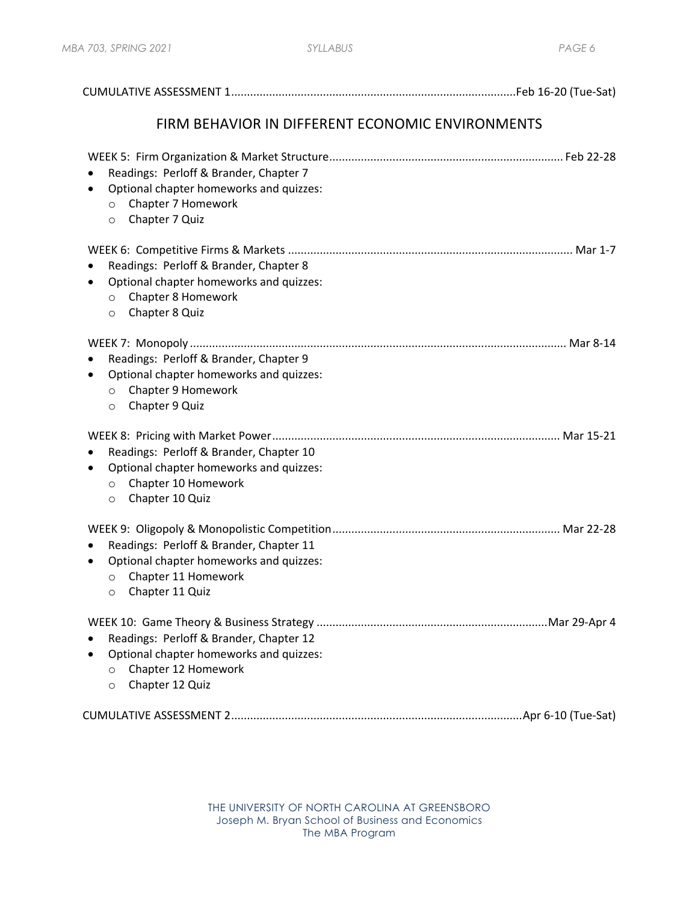| FIRM BEHAVIOR IN DIFFERENT ECONOMIC ENVIRONMENTS                                                                                                     |  |
|------------------------------------------------------------------------------------------------------------------------------------------------------|--|
| Readings: Perloff & Brander, Chapter 7<br>Optional chapter homeworks and quizzes:<br>٠<br>Chapter 7 Homework<br>$\circ$<br>Chapter 7 Quiz<br>$\circ$ |  |
| Readings: Perloff & Brander, Chapter 8<br>Optional chapter homeworks and quizzes:<br>Chapter 8 Homework<br>$\circ$<br>Chapter 8 Quiz<br>$\circ$      |  |
| Readings: Perloff & Brander, Chapter 9<br>Optional chapter homeworks and quizzes:<br>Chapter 9 Homework<br>$\circ$<br>Chapter 9 Quiz<br>$\circ$      |  |
| Readings: Perloff & Brander, Chapter 10<br>Optional chapter homeworks and quizzes:<br>Chapter 10 Homework<br>$\circ$<br>Chapter 10 Quiz<br>O         |  |
| Readings: Perloff & Brander, Chapter 11<br>Optional chapter homeworks and quizzes:<br>Chapter 11 Homework<br>$\circ$<br>Chapter 11 Quiz<br>$\circ$   |  |
| Readings: Perloff & Brander, Chapter 12<br>Optional chapter homeworks and quizzes:<br>Chapter 12 Homework<br>$\circ$<br>Chapter 12 Quiz<br>$\circ$   |  |
|                                                                                                                                                      |  |